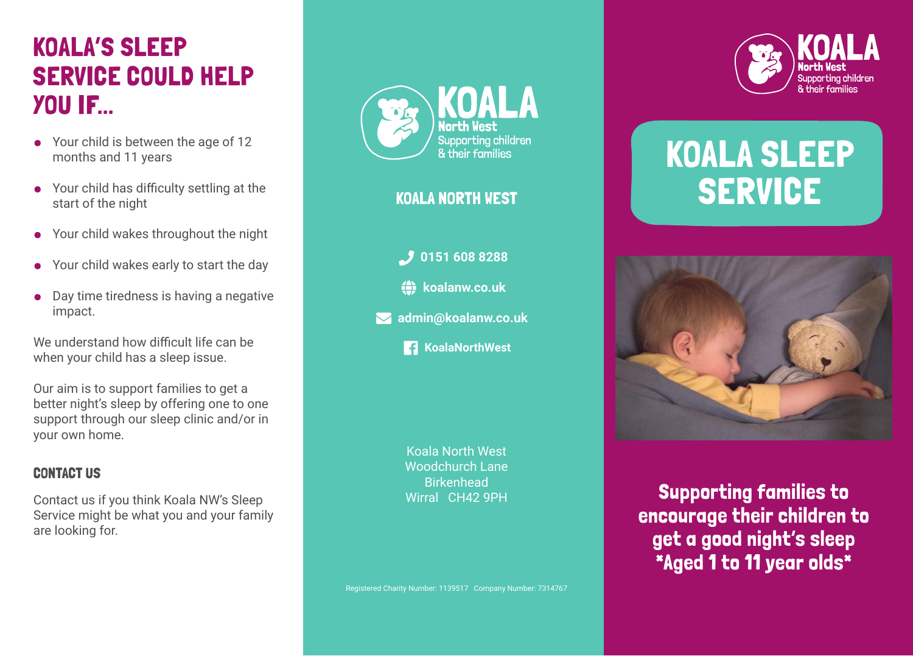## KOALA'S SLEEP SERVICE COULD HELP YOU IF...

- Your child is between the age of 12 months and 11 years
- Your child has difficulty settling at the start of the night
- Your child wakes throughout the night
- Your child wakes early to start the day
- Day time tiredness is having a negative impact.

We understand how difficult life can be when your child has a sleep issue.

Our aim is to support families to get a better night's sleep by offering one to one support through our sleep clinic and/or in your own home.

#### CONTACT US

Contact us if you think Koala NW's Sleep Service might be what you and your family are looking for.



#### KOALA NORTH WEST

- *D* 0151 608 8288
- **(c)** koalanw.co.uk
- $\blacktriangleright$  **admin@koalanw.co.uk** 
	- **Fa** KoalaNorthWest

Koala North West Woodchurch Lane Birkenhead Wirral CH42 9PH



# KOALA SLEEP SERVICE



Supporting families to encourage their children to get a good night's sleep \*Aged 1 to 11 year olds\*